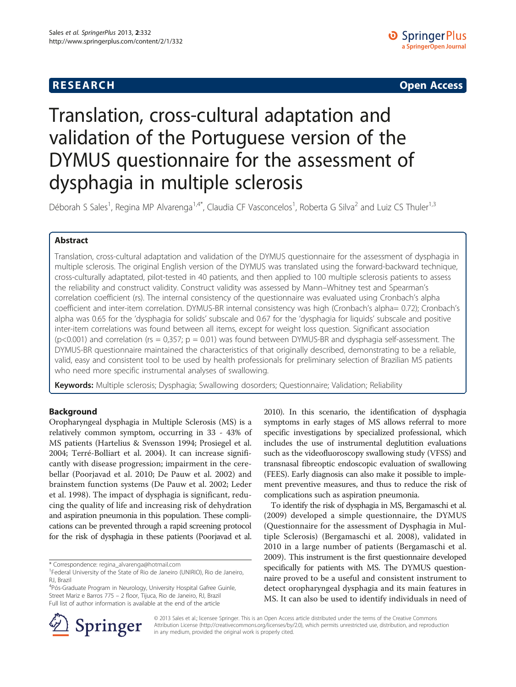# **RESEARCH CHE CHE Open Access**

# Translation, cross-cultural adaptation and validation of the Portuguese version of the DYMUS questionnaire for the assessment of dysphagia in multiple sclerosis

Déborah S Sales<sup>1</sup>, Regina MP Alvarenga<sup>1,4\*</sup>, Claudia CF Vasconcelos<sup>1</sup>, Roberta G Silva<sup>2</sup> and Luiz CS Thuler<sup>1,3</sup>

# Abstract

Translation, cross-cultural adaptation and validation of the DYMUS questionnaire for the assessment of dysphagia in multiple sclerosis. The original English version of the DYMUS was translated using the forward-backward technique, cross-culturally adaptated, pilot-tested in 40 patients, and then applied to 100 multiple sclerosis patients to assess the reliability and construct validity. Construct validity was assessed by Mann–Whitney test and Spearman's correlation coefficient (rs). The internal consistency of the questionnaire was evaluated using Cronbach's alpha coefficient and inter-item correlation. DYMUS-BR internal consistency was high (Cronbach's alpha= 0.72); Cronbach's alpha was 0.65 for the 'dysphagia for solids' subscale and 0.67 for the 'dysphagia for liquids' subscale and positive inter-item correlations was found between all items, except for weight loss question. Significant association  $(p<0.001)$  and correlation (rs = 0,357;  $p = 0.01$ ) was found between DYMUS-BR and dysphagia self-assessment. The DYMUS-BR questionnaire maintained the characteristics of that originally described, demonstrating to be a reliable, valid, easy and consistent tool to be used by health professionals for preliminary selection of Brazilian MS patients who need more specific instrumental analyses of swallowing.

Keywords: Multiple sclerosis; Dysphagia; Swallowing dosorders; Questionnaire; Validation; Reliability

# Background

Oropharyngeal dysphagia in Multiple Sclerosis (MS) is a relatively common symptom, occurring in 33 - 43% of MS patients (Hartelius & Svensson [1994;](#page-5-0) Prosiegel et al. [2004](#page-5-0); Terré-Bolliart et al. [2004](#page-5-0)). It can increase significantly with disease progression; impairment in the cerebellar (Poorjavad et al. [2010](#page-5-0); De Pauw et al. [2002](#page-5-0)) and brainstem function systems (De Pauw et al. [2002;](#page-5-0) Leder et al. [1998](#page-5-0)). The impact of dysphagia is significant, reducing the quality of life and increasing risk of dehydration and aspiration pneumonia in this population. These complications can be prevented through a rapid screening protocol for the risk of dysphagia in these patients (Poorjavad et al.

\* Correspondence: [regina\\_alvarenga@hotmail.com](mailto:regina_alvarenga@hotmail.com) <sup>1</sup>

<sup>4</sup>Pós-Graduate Program in Neurology, University Hospital Gafree Guinle, Street Mariz e Barros 775 – 2 floor, Tijuca, Rio de Janeiro, RJ, Brazil Full list of author information is available at the end of the article

[2010](#page-5-0)). In this scenario, the identification of dysphagia symptoms in early stages of MS allows referral to more specific investigations by specialized professional, which includes the use of instrumental deglutition evaluations such as the videofluoroscopy swallowing study (VFSS) and transnasal fibreoptic endoscopic evaluation of swallowing (FEES). Early diagnosis can also make it possible to implement preventive measures, and thus to reduce the risk of complications such as aspiration pneumonia.

To identify the risk of dysphagia in MS, Bergamaschi et al. ([2009\)](#page-5-0) developed a simple questionnaire, the DYMUS (Questionnaire for the assessment of Dysphagia in Multiple Sclerosis) (Bergamaschi et al. [2008\)](#page-5-0), validated in 2010 in a large number of patients (Bergamaschi et al. [2009\)](#page-5-0). This instrument is the first questionnaire developed specifically for patients with MS. The DYMUS questionnaire proved to be a useful and consistent instrument to detect oropharyngeal dysphagia and its main features in MS. It can also be used to identify individuals in need of



© 2013 Sales et al.; licensee Springer. This is an Open Access article distributed under the terms of the Creative Commons Attribution License [\(http://creativecommons.org/licenses/by/2.0\)](http://creativecommons.org/licenses/by/2.0), which permits unrestricted use, distribution, and reproduction in any medium, provided the original work is properly cited.

<sup>&</sup>lt;sup>1</sup> Federal University of the State of Rio de Janeiro (UNIRIO), Rio de Janeiro, RJ, Brazil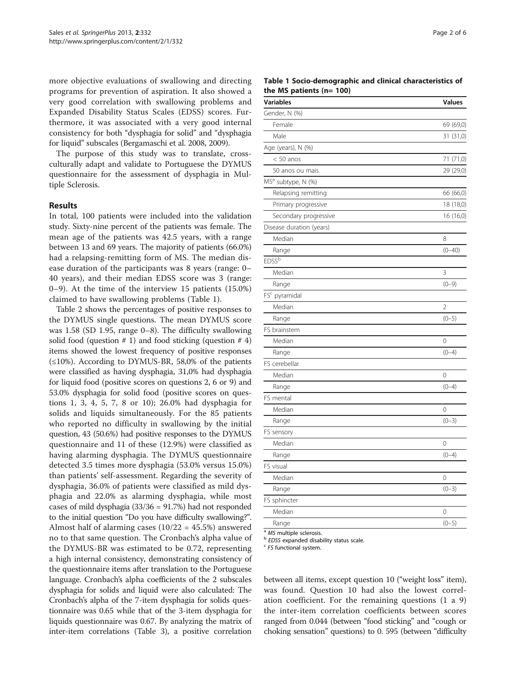more objective evaluations of swallowing and directing programs for prevention of aspiration. It also showed a very good correlation with swallowing problems and Expanded Disability Status Scales (EDSS) scores. Furthermore, it was associated with a very good internal consistency for both "dysphagia for solid" and "dysphagia for liquid" subscales (Bergamaschi et al. [2008](#page-5-0), [2009](#page-5-0)).

The purpose of this study was to translate, crossculturally adapt and validate to Portuguese the DYMUS questionnaire for the assessment of dysphagia in Multiple Sclerosis.

# Results

In total, 100 patients were included into the validation study. Sixty-nine percent of the patients was female. The mean age of the patients was 42.5 years, with a range between 13 and 69 years. The majority of patients (66.0%) had a relapsing-remitting form of MS. The median disease duration of the participants was 8 years (range: 0– 40 years), and their median EDSS score was 3 (range: 0–9). At the time of the interview 15 patients (15.0%) claimed to have swallowing problems (Table 1).

Table [2](#page-2-0) shows the percentages of positive responses to the DYMUS single questions. The mean DYMUS score was 1.58 (SD 1.95, range 0–8). The difficulty swallowing solid food (question  $# 1$ ) and food sticking (question  $# 4$ ) items showed the lowest frequency of positive responses  $(\leq 10\%)$ . According to DYMUS-BR, 58,0% of the patients were classified as having dysphagia, 31,0% had dysphagia for liquid food (positive scores on questions 2, 6 or 9) and 53.0% dysphagia for solid food (positive scores on questions 1, 3, 4, 5, 7, 8 or 10); 26.0% had dysphagia for solids and liquids simultaneously. For the 85 patients who reported no difficulty in swallowing by the initial question, 43 (50.6%) had positive responses to the DYMUS questionnaire and 11 of these (12.9%) were classified as having alarming dysphagia. The DYMUS questionnaire detected 3.5 times more dysphagia (53.0% versus 15.0%) than patients' self-assessment. Regarding the severity of dysphagia, 36.0% of patients were classified as mild dysphagia and 22.0% as alarming dysphagia, while most cases of mild dysphagia (33/36 = 91.7%) had not responded to the initial question "Do you have difficulty swallowing?". Almost half of alarming cases  $(10/22 = 45.5%)$  answered no to that same question. The Cronbach's alpha value of the DYMUS-BR was estimated to be 0.72, representing a high internal consistency, demonstrating consistency of the questionnaire items after translation to the Portuguese language. Cronbach's alpha coefficients of the 2 subscales dysphagia for solids and liquid were also calculated: The Cronbach's alpha of the 7-item dysphagia for solids questionnaire was 0.65 while that of the 3-item dysphagia for liquids questionnaire was 0.67. By analyzing the matrix of inter-item correlations (Table [3](#page-2-0)), a positive correlation

Table 1 Socio-demographic and clinical characteristics of the MS patients (n= 100)

| Variables                      | <b>Values</b>  |
|--------------------------------|----------------|
| Gender, N (%)                  |                |
| Female                         | 69 (69,0)      |
| Male                           | 31 (31,0)      |
| Age (years), N (%)             |                |
| $< 50$ anos                    | 71 (71,0)      |
| 50 anos ou mais                | 29 (29,0)      |
| MS <sup>a</sup> subtype, N (%) |                |
| Relapsing remitting            | 66 (66,0)      |
| Primary progressive            | 18 (18,0)      |
| Secondary progressive          | 16 (16,0)      |
| Disease duration (years)       |                |
| Median                         | 8              |
| Range                          | $(0 - 40)$     |
| <b>EDSS</b> b                  |                |
| Median                         | 3              |
| Range                          | $(0-9)$        |
| FS <sup>c</sup> pyramidal      |                |
| Median                         | $\overline{2}$ |
| Range                          | $(0 - 5)$      |
| FS brainstem                   |                |
| Median                         | 0              |
| Range                          | $(0 - 4)$      |
| FS cerebellar                  |                |
| Median                         | 0              |
| Range                          | $(0-4)$        |
| FS mental                      |                |
| Median                         | 0              |
| Range                          | $(0 - 3)$      |
| FS sensory                     |                |
| Median                         | 0              |
| Range                          | $(0 - 4)$      |
| FS visual                      |                |
| Median                         | 0              |
| Range                          | $(0-3)$        |
| FS sphincter                   |                |
| Median                         | 0              |
| Range                          | $(0 - 5)$      |
|                                |                |

<sup>a</sup> MS multiple sclerosis. <sup>a</sup> MS multiple sclerosis.<br><sup>b</sup> EDSS expanded disak

 $\frac{EDSS}{EDSS}$  expanded disability status scale.

 $c$  FS functional system.

between all items, except question 10 ("weight loss" item), was found. Question 10 had also the lowest correlation coefficient. For the remaining questions (1 a 9) the inter-item correlation coefficients between scores ranged from 0.044 (between "food sticking" and "cough or choking sensation" questions) to 0. 595 (between "difficulty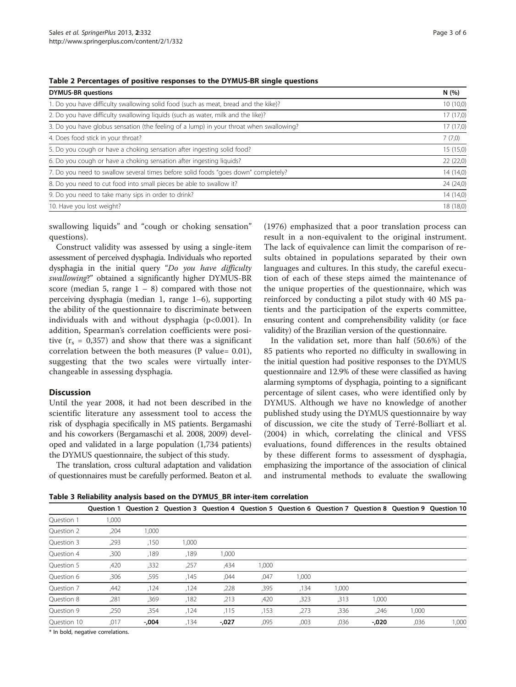<span id="page-2-0"></span>Table 2 Percentages of positive responses to the DYMUS-BR single questions

| <b>DYMUS-BR</b> questions                                                               | N(%)      |
|-----------------------------------------------------------------------------------------|-----------|
| 1. Do you have difficulty swallowing solid food (such as meat, bread and the kike)?     | 10(10,0)  |
| 2. Do you have difficulty swallowing liquids (such as water, milk and the like)?        | 17 (17,0) |
| 3. Do you have globus sensation (the feeling of a lump) in your throat when swallowing? | 17(17,0)  |
| 4. Does food stick in your throat?                                                      | 7(7,0)    |
| 5. Do you cough or have a choking sensation after ingesting solid food?                 | 15 (15,0) |
| 6. Do you cough or have a choking sensation after ingesting liquids?                    | 22(22,0)  |
| 7. Do you need to swallow several times before solid foods "goes down" completely?      | 14 (14,0) |
| 8. Do you need to cut food into small pieces be able to swallow it?                     | 24 (24,0) |
| 9. Do you need to take many sips in order to drink?                                     | 14 (14,0) |
| 10. Have you lost weight?                                                               | 18 (18,0) |

swallowing liquids" and "cough or choking sensation" questions).

Construct validity was assessed by using a single-item assessment of perceived dysphagia. Individuals who reported dysphagia in the initial query "Do you have difficulty swallowing?" obtained a significantly higher DYMUS-BR score (median 5, range  $1 - 8$ ) compared with those not perceiving dysphagia (median 1, range 1–6), supporting the ability of the questionnaire to discriminate between individuals with and without dysphagia ( $p < 0.001$ ). In addition, Spearman's correlation coefficients were positive  $(r_s = 0.357)$  and show that there was a significant correlation between the both measures (P value= 0.01), suggesting that the two scales were virtually interchangeable in assessing dysphagia.

# Discussion

Until the year 2008, it had not been described in the scientific literature any assessment tool to access the risk of dysphagia specifically in MS patients. Bergamashi and his coworkers (Bergamaschi et al. [2008, 2009\)](#page-5-0) developed and validated in a large population (1,734 patients) the DYMUS questionnaire, the subject of this study.

The translation, cross cultural adaptation and validation of questionnaires must be carefully performed. Beaton et al.

([1976\)](#page-5-0) emphasized that a poor translation process can result in a non-equivalent to the original instrument. The lack of equivalence can limit the comparison of results obtained in populations separated by their own languages and cultures. In this study, the careful execution of each of these steps aimed the maintenance of the unique properties of the questionnaire, which was reinforced by conducting a pilot study with 40 MS patients and the participation of the experts committee, ensuring content and comprehensibility validity (or face validity) of the Brazilian version of the questionnaire.

In the validation set, more than half (50.6%) of the 85 patients who reported no difficulty in swallowing in the initial question had positive responses to the DYMUS questionnaire and 12.9% of these were classified as having alarming symptoms of dysphagia, pointing to a significant percentage of silent cases, who were identified only by DYMUS. Although we have no knowledge of another published study using the DYMUS questionnaire by way of discussion, we cite the study of Terré-Bolliart et al. ([2004\)](#page-5-0) in which, correlating the clinical and VFSS evaluations, found differences in the results obtained by these different forms to assessment of dysphagia, emphasizing the importance of the association of clinical and instrumental methods to evaluate the swallowing

Table 3 Reliability analysis based on the DYMUS\_BR inter-item correlation

|             |       |         |       |         |       |       |       |         |       | Question 1 Question 2 Question 3 Question 4 Question 5 Question 6 Question 7 Question 8 Question 9 Question 10 |
|-------------|-------|---------|-------|---------|-------|-------|-------|---------|-------|----------------------------------------------------------------------------------------------------------------|
| Question 1  | 1,000 |         |       |         |       |       |       |         |       |                                                                                                                |
| Question 2  | ,204  | 1,000   |       |         |       |       |       |         |       |                                                                                                                |
| Question 3  | ,293  | ,150    | 1,000 |         |       |       |       |         |       |                                                                                                                |
| Question 4  | ,300  | ,189    | ,189  | 1,000   |       |       |       |         |       |                                                                                                                |
| Question 5  | ,420  | ,332    | ,257  | ,434    | 1,000 |       |       |         |       |                                                                                                                |
| Question 6  | ,306  | ,595    | ,145  | ,044    | ,047  | 1,000 |       |         |       |                                                                                                                |
| Question 7  | ,442  | ,124    | ,124  | ,228    | ,395  | ,134  | 1,000 |         |       |                                                                                                                |
| Question 8  | ,281  | ,369    | ,182  | ,213    | ,420  | ,323  | ,313  | 1,000   |       |                                                                                                                |
| Question 9  | ,250  | ,354    | ,124  | ,115    | ,153  | ,273  | ,336  | ,246    | 1,000 |                                                                                                                |
| Ouestion 10 | .017  | $-.004$ | ,134  | $-.027$ | ,095  | ,003  | ,036  | $-.020$ | ,036  | 1,000                                                                                                          |

\* In bold, negative correlations.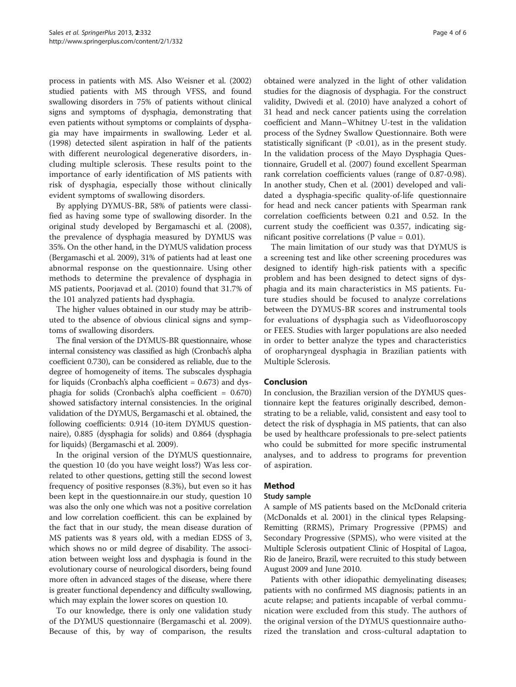process in patients with MS. Also Weisner et al. [\(2002](#page-5-0)) studied patients with MS through VFSS, and found swallowing disorders in 75% of patients without clinical signs and symptoms of dysphagia, demonstrating that even patients without symptoms or complaints of dysphagia may have impairments in swallowing. Leder et al. ([1998](#page-5-0)) detected silent aspiration in half of the patients with different neurological degenerative disorders, including multiple sclerosis. These results point to the importance of early identification of MS patients with risk of dysphagia, especially those without clinically evident symptoms of swallowing disorders.

By applying DYMUS-BR, 58% of patients were classified as having some type of swallowing disorder. In the original study developed by Bergamaschi et al. ([2008](#page-5-0)), the prevalence of dysphagia measured by DYMUS was 35%. On the other hand, in the DYMUS validation process (Bergamaschi et al. [2009\)](#page-5-0), 31% of patients had at least one abnormal response on the questionnaire. Using other methods to determine the prevalence of dysphagia in MS patients, Poorjavad et al. ([2010\)](#page-5-0) found that 31.7% of the 101 analyzed patients had dysphagia.

The higher values obtained in our study may be attributed to the absence of obvious clinical signs and symptoms of swallowing disorders.

The final version of the DYMUS-BR questionnaire, whose internal consistency was classified as high (Cronbach's alpha coefficient 0.730), can be considered as reliable, due to the degree of homogeneity of items. The subscales dysphagia for liquids (Cronbach's alpha coefficient  $= 0.673$ ) and dysphagia for solids (Cronbach's alpha coefficient = 0.670) showed satisfactory internal consistencies. In the original validation of the DYMUS, Bergamaschi et al. obtained, the following coefficients: 0.914 (10-item DYMUS questionnaire), 0.885 (dysphagia for solids) and 0.864 (dysphagia for liquids) (Bergamaschi et al. [2009](#page-5-0)).

In the original version of the DYMUS questionnaire, the question 10 (do you have weight loss?) Was less correlated to other questions, getting still the second lowest frequency of positive responses (8.3%), but even so it has been kept in the questionnaire.in our study, question 10 was also the only one which was not a positive correlation and low correlation coefficient. this can be explained by the fact that in our study, the mean disease duration of MS patients was 8 years old, with a median EDSS of 3, which shows no or mild degree of disability. The association between weight loss and dysphagia is found in the evolutionary course of neurological disorders, being found more often in advanced stages of the disease, where there is greater functional dependency and difficulty swallowing, which may explain the lower scores on question 10.

To our knowledge, there is only one validation study of the DYMUS questionnaire (Bergamaschi et al. [2009](#page-5-0)). Because of this, by way of comparison, the results

obtained were analyzed in the light of other validation studies for the diagnosis of dysphagia. For the construct validity, Dwivedi et al. [\(2010\)](#page-5-0) have analyzed a cohort of 31 head and neck cancer patients using the correlation coefficient and Mann–Whitney U-test in the validation process of the Sydney Swallow Questionnaire. Both were statistically significant ( $P < 0.01$ ), as in the present study. In the validation process of the Mayo Dysphagia Questionnaire, Grudell et al. [\(2007\)](#page-5-0) found excellent Spearman rank correlation coefficients values (range of 0.87-0.98). In another study, Chen et al. ([2001](#page-5-0)) developed and validated a dysphagia-specific quality-of-life questionnaire for head and neck cancer patients with Spearman rank correlation coefficients between 0.21 and 0.52. In the current study the coefficient was 0.357, indicating significant positive correlations (P value = 0.01).

The main limitation of our study was that DYMUS is a screening test and like other screening procedures was designed to identify high-risk patients with a specific problem and has been designed to detect signs of dysphagia and its main characteristics in MS patients. Future studies should be focused to analyze correlations between the DYMUS-BR scores and instrumental tools for evaluations of dysphagia such as Videofluoroscopy or FEES. Studies with larger populations are also needed in order to better analyze the types and characteristics of oropharyngeal dysphagia in Brazilian patients with Multiple Sclerosis.

# Conclusion

In conclusion, the Brazilian version of the DYMUS questionnaire kept the features originally described, demonstrating to be a reliable, valid, consistent and easy tool to detect the risk of dysphagia in MS patients, that can also be used by healthcare professionals to pre-select patients who could be submitted for more specific instrumental analyses, and to address to programs for prevention of aspiration.

# Method

# Study sample

A sample of MS patients based on the McDonald criteria (McDonalds et al. [2001\)](#page-5-0) in the clinical types Relapsing-Remitting (RRMS), Primary Progressive (PPMS) and Secondary Progressive (SPMS), who were visited at the Multiple Sclerosis outpatient Clinic of Hospital of Lagoa, Rio de Janeiro, Brazil, were recruited to this study between August 2009 and June 2010.

Patients with other idiopathic demyelinating diseases; patients with no confirmed MS diagnosis; patients in an acute relapse; and patients incapable of verbal communication were excluded from this study. The authors of the original version of the DYMUS questionnaire authorized the translation and cross-cultural adaptation to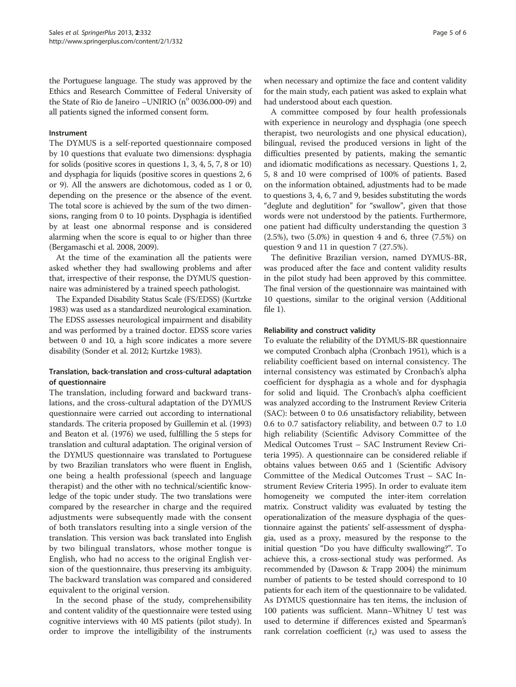the Portuguese language. The study was approved by the Ethics and Research Committee of Federal University of the State of Rio de Janeiro  $-UNIRIO$  (n° 0036.000-09) and all patients signed the informed consent form.

# Instrument

The DYMUS is a self-reported questionnaire composed by 10 questions that evaluate two dimensions: dysphagia for solids (positive scores in questions 1, 3, 4, 5, 7, 8 or 10) and dysphagia for liquids (positive scores in questions 2, 6 or 9). All the answers are dichotomous, coded as 1 or 0, depending on the presence or the absence of the event. The total score is achieved by the sum of the two dimensions, ranging from 0 to 10 points. Dysphagia is identified by at least one abnormal response and is considered alarming when the score is equal to or higher than three (Bergamaschi et al. [2008, 2009\)](#page-5-0).

At the time of the examination all the patients were asked whether they had swallowing problems and after that, irrespective of their response, the DYMUS questionnaire was administered by a trained speech pathologist.

The Expanded Disability Status Scale (FS/EDSS) (Kurtzke [1983\)](#page-5-0) was used as a standardized neurological examination. The EDSS assesses neurological impairment and disability and was performed by a trained doctor. EDSS score varies between 0 and 10, a high score indicates a more severe disability (Sonder et al. [2012;](#page-5-0) Kurtzke [1983\)](#page-5-0).

# Translation, back-translation and cross-cultural adaptation of questionnaire

The translation, including forward and backward translations, and the cross-cultural adaptation of the DYMUS questionnaire were carried out according to international standards. The criteria proposed by Guillemin et al. [\(1993](#page-5-0)) and Beaton et al. ([1976](#page-5-0)) we used, fulfilling the 5 steps for translation and cultural adaptation. The original version of the DYMUS questionnaire was translated to Portuguese by two Brazilian translators who were fluent in English, one being a health professional (speech and language therapist) and the other with no technical/scientific knowledge of the topic under study. The two translations were compared by the researcher in charge and the required adjustments were subsequently made with the consent of both translators resulting into a single version of the translation. This version was back translated into English by two bilingual translators, whose mother tongue is English, who had no access to the original English version of the questionnaire, thus preserving its ambiguity. The backward translation was compared and considered equivalent to the original version.

In the second phase of the study, comprehensibility and content validity of the questionnaire were tested using cognitive interviews with 40 MS patients (pilot study). In order to improve the intelligibility of the instruments

when necessary and optimize the face and content validity for the main study, each patient was asked to explain what had understood about each question.

A committee composed by four health professionals with experience in neurology and dysphagia (one speech therapist, two neurologists and one physical education), bilingual, revised the produced versions in light of the difficulties presented by patients, making the semantic and idiomatic modifications as necessary. Questions 1, 2, 5, 8 and 10 were comprised of 100% of patients. Based on the information obtained, adjustments had to be made to questions 3, 4, 6, 7 and 9, besides substituting the words "deglute and deglutition" for "swallow", given that those words were not understood by the patients. Furthermore, one patient had difficulty understanding the question 3  $(2.5\%)$ , two  $(5.0\%)$  in question 4 and 6, three  $(7.5\%)$  on question 9 and 11 in question 7 (27.5%).

The definitive Brazilian version, named DYMUS-BR, was produced after the face and content validity results in the pilot study had been approved by this committee. The final version of the questionnaire was maintained with 10 questions, similar to the original version (Additional file [1](#page-5-0)).

# Reliability and construct validity

To evaluate the reliability of the DYMUS-BR questionnaire we computed Cronbach alpha (Cronbach [1951\)](#page-5-0), which is a reliability coefficient based on internal consistency. The internal consistency was estimated by Cronbach's alpha coefficient for dysphagia as a whole and for dysphagia for solid and liquid. The Cronbach's alpha coefficient was analyzed according to the Instrument Review Criteria (SAC): between 0 to 0.6 unsatisfactory reliability, between 0.6 to 0.7 satisfactory reliability, and between 0.7 to 1.0 high reliability (Scientific Advisory Committee of the Medical Outcomes Trust – SAC Instrument Review Criteria [1995](#page-5-0)). A questionnaire can be considered reliable if obtains values between 0.65 and 1 (Scientific Advisory Committee of the Medical Outcomes Trust – SAC Instrument Review Criteria [1995\)](#page-5-0). In order to evaluate item homogeneity we computed the inter-item correlation matrix. Construct validity was evaluated by testing the operationalization of the measure dysphagia of the questionnaire against the patients' self-assessment of dysphagia, used as a proxy, measured by the response to the initial question "Do you have difficulty swallowing?". To achieve this, a cross-sectional study was performed. As recommended by (Dawson & Trapp [2004\)](#page-5-0) the minimum number of patients to be tested should correspond to 10 patients for each item of the questionnaire to be validated. As DYMUS questionnaire has ten items, the inclusion of 100 patients was sufficient. Mann–Whitney U test was used to determine if differences existed and Spearman's rank correlation coefficient  $(r_s)$  was used to assess the